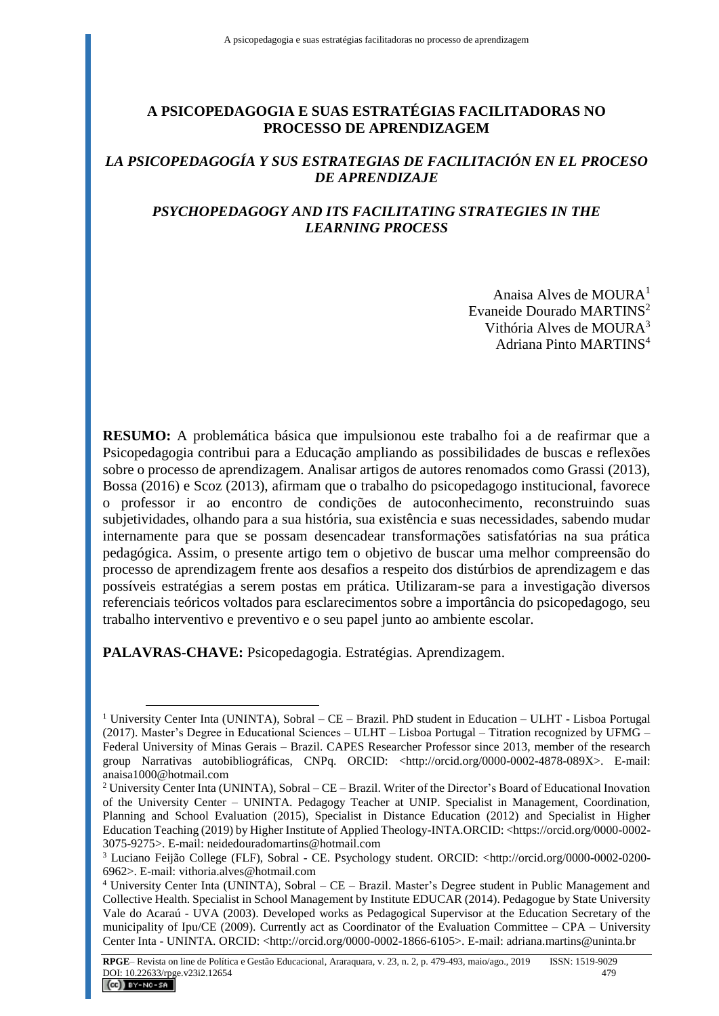## **A PSICOPEDAGOGIA E SUAS ESTRATÉGIAS FACILITADORAS NO PROCESSO DE APRENDIZAGEM**

### *LA PSICOPEDAGOGÍA Y SUS ESTRATEGIAS DE FACILITACIÓN EN EL PROCESO DE APRENDIZAJE*

## *PSYCHOPEDAGOGY AND ITS FACILITATING STRATEGIES IN THE LEARNING PROCESS*

Anaisa Alves de MOURA<sup>1</sup> Evaneide Dourado MARTINS<sup>2</sup> Vithória Alves de MOURA<sup>3</sup> Adriana Pinto MARTINS<sup>4</sup>

**RESUMO:** A problemática básica que impulsionou este trabalho foi a de reafirmar que a Psicopedagogia contribui para a Educação ampliando as possibilidades de buscas e reflexões sobre o processo de aprendizagem. Analisar artigos de autores renomados como Grassi (2013), Bossa (2016) e Scoz (2013), afirmam que o trabalho do psicopedagogo institucional, favorece o professor ir ao encontro de condições de autoconhecimento, reconstruindo suas subjetividades, olhando para a sua história, sua existência e suas necessidades, sabendo mudar internamente para que se possam desencadear transformações satisfatórias na sua prática pedagógica. Assim, o presente artigo tem o objetivo de buscar uma melhor compreensão do processo de aprendizagem frente aos desafios a respeito dos distúrbios de aprendizagem e das possíveis estratégias a serem postas em prática. Utilizaram-se para a investigação diversos referenciais teóricos voltados para esclarecimentos sobre a importância do psicopedagogo, seu trabalho interventivo e preventivo e o seu papel junto ao ambiente escolar.

**PALAVRAS-CHAVE:** Psicopedagogia. Estratégias. Aprendizagem.

 $\overline{a}$ 

<sup>1</sup> University Center Inta (UNINTA), Sobral – CE – Brazil. PhD student in Education – ULHT - Lisboa Portugal (2017). Master's Degree in Educational Sciences – ULHT – Lisboa Portugal – Titration recognized by UFMG – Federal University of Minas Gerais – Brazil. CAPES Researcher Professor since 2013, member of the research group Narrativas autobibliográficas, CNPq. ORCID: <http://orcid.org/0000-0002-4878-089X>. E-mail: [anaisa1000@hotmail.com](mailto:anaisa1000@hotmail.com)

<sup>&</sup>lt;sup>2</sup> University Center Inta (UNINTA), Sobral – CE – Brazil. Writer of the Director's Board of Educational Inovation of the University Center – UNINTA. Pedagogy Teacher at UNIP. Specialist in Management, Coordination, Planning and School Evaluation (2015), Specialist in Distance Education (2012) and Specialist in Higher Education Teaching (2019) by Higher Institute of Applied Theology-INTA.ORCID: <https://orcid.org/0000-0002- 3075-9275>. E-mail: [neidedouradomartins@hotmail.com](mailto:neidedouradomartins@hotmail.com)

<sup>3</sup> Luciano Feijão College (FLF), Sobral - CE. Psychology student. ORCID: <http://orcid.org/0000-0002-0200- 6962>. E-mail: [vithoria.alves@hotmail.com](mailto:vithoria.alves@hotmail.com)

<sup>4</sup> University Center Inta (UNINTA), Sobral – CE – Brazil. Master's Degree student in Public Management and Collective Health. Specialist in School Management by Institute EDUCAR (2014). Pedagogue by State University Vale do Acaraú - UVA (2003). Developed works as Pedagogical Supervisor at the Education Secretary of the municipality of Ipu/CE (2009). Currently act as Coordinator of the Evaluation Committee – CPA – University Center Inta - UNINTA. ORCID: <http://orcid.org/0000-0002-1866-6105>. E-mail[: adriana.martins@uninta.br](mailto:adriana.martins@uninta.br)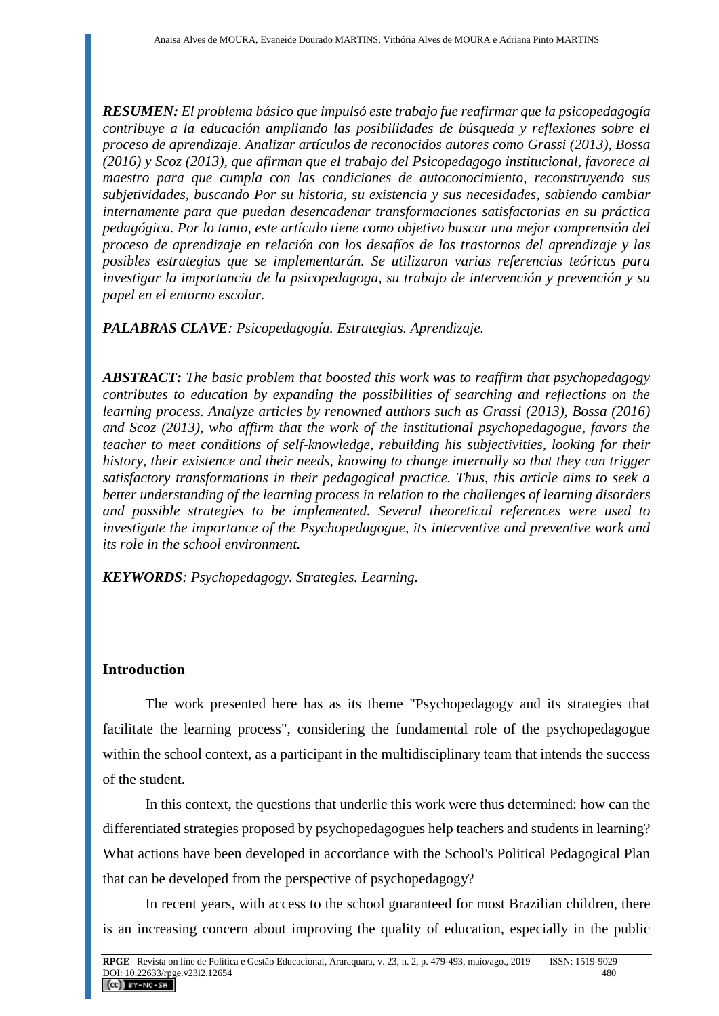*RESUMEN: El problema básico que impulsó este trabajo fue reafirmar que la psicopedagogía contribuye a la educación ampliando las posibilidades de búsqueda y reflexiones sobre el proceso de aprendizaje. Analizar artículos de reconocidos autores como Grassi (2013), Bossa (2016) y Scoz (2013), que afirman que el trabajo del Psicopedagogo institucional, favorece al maestro para que cumpla con las condiciones de autoconocimiento, reconstruyendo sus subjetividades, buscando Por su historia, su existencia y sus necesidades, sabiendo cambiar internamente para que puedan desencadenar transformaciones satisfactorias en su práctica pedagógica. Por lo tanto, este artículo tiene como objetivo buscar una mejor comprensión del proceso de aprendizaje en relación con los desafíos de los trastornos del aprendizaje y las posibles estrategias que se implementarán. Se utilizaron varias referencias teóricas para investigar la importancia de la psicopedagoga, su trabajo de intervención y prevención y su papel en el entorno escolar.*

*PALABRAS CLAVE: Psicopedagogía. Estrategias. Aprendizaje.*

*ABSTRACT: The basic problem that boosted this work was to reaffirm that psychopedagogy contributes to education by expanding the possibilities of searching and reflections on the learning process. Analyze articles by renowned authors such as Grassi (2013), Bossa (2016) and Scoz (2013), who affirm that the work of the institutional psychopedagogue, favors the teacher to meet conditions of self-knowledge, rebuilding his subjectivities, looking for their history, their existence and their needs, knowing to change internally so that they can trigger satisfactory transformations in their pedagogical practice. Thus, this article aims to seek a better understanding of the learning process in relation to the challenges of learning disorders and possible strategies to be implemented. Several theoretical references were used to investigate the importance of the Psychopedagogue, its interventive and preventive work and its role in the school environment.*

*KEYWORDS: Psychopedagogy. Strategies. Learning.*

## **Introduction**

The work presented here has as its theme "Psychopedagogy and its strategies that facilitate the learning process", considering the fundamental role of the psychopedagogue within the school context, as a participant in the multidisciplinary team that intends the success of the student.

In this context, the questions that underlie this work were thus determined: how can the differentiated strategies proposed by psychopedagogues help teachers and students in learning? What actions have been developed in accordance with the School's Political Pedagogical Plan that can be developed from the perspective of psychopedagogy?

In recent years, with access to the school guaranteed for most Brazilian children, there is an increasing concern about improving the quality of education, especially in the public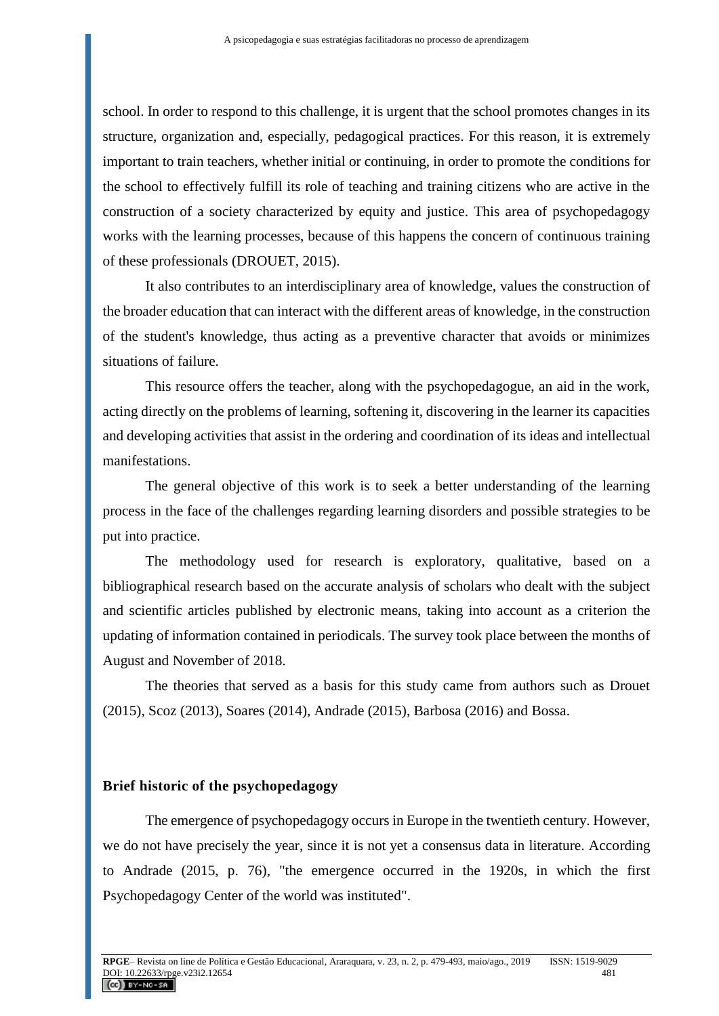school. In order to respond to this challenge, it is urgent that the school promotes changes in its structure, organization and, especially, pedagogical practices. For this reason, it is extremely important to train teachers, whether initial or continuing, in order to promote the conditions for the school to effectively fulfill its role of teaching and training citizens who are active in the construction of a society characterized by equity and justice. This area of psychopedagogy works with the learning processes, because of this happens the concern of continuous training of these professionals (DROUET, 2015).

It also contributes to an interdisciplinary area of knowledge, values the construction of the broader education that can interact with the different areas of knowledge, in the construction of the student's knowledge, thus acting as a preventive character that avoids or minimizes situations of failure.

This resource offers the teacher, along with the psychopedagogue, an aid in the work, acting directly on the problems of learning, softening it, discovering in the learner its capacities and developing activities that assist in the ordering and coordination of its ideas and intellectual manifestations.

The general objective of this work is to seek a better understanding of the learning process in the face of the challenges regarding learning disorders and possible strategies to be put into practice.

The methodology used for research is exploratory, qualitative, based on a bibliographical research based on the accurate analysis of scholars who dealt with the subject and scientific articles published by electronic means, taking into account as a criterion the updating of information contained in periodicals. The survey took place between the months of August and November of 2018.

The theories that served as a basis for this study came from authors such as Drouet (2015), Scoz (2013), Soares (2014), Andrade (2015), Barbosa (2016) and Bossa.

#### **Brief historic of the psychopedagogy**

The emergence of psychopedagogy occurs in Europe in the twentieth century. However, we do not have precisely the year, since it is not yet a consensus data in literature. According to Andrade (2015, p. 76), "the emergence occurred in the 1920s, in which the first Psychopedagogy Center of the world was instituted".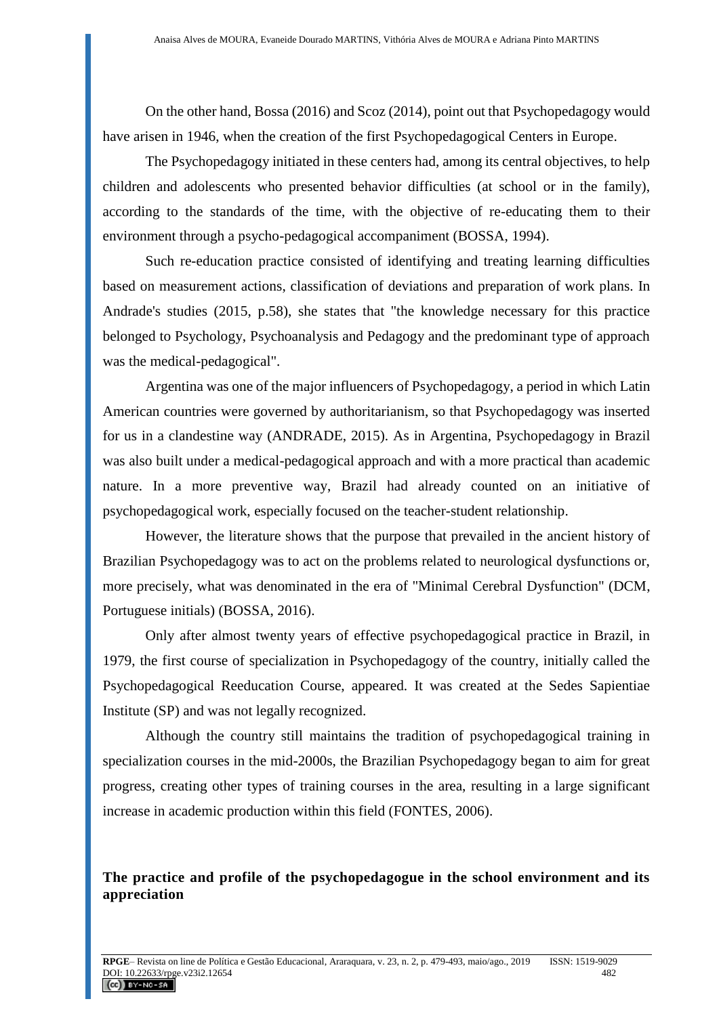On the other hand, Bossa (2016) and Scoz (2014), point out that Psychopedagogy would have arisen in 1946, when the creation of the first Psychopedagogical Centers in Europe.

The Psychopedagogy initiated in these centers had, among its central objectives, to help children and adolescents who presented behavior difficulties (at school or in the family), according to the standards of the time, with the objective of re-educating them to their environment through a psycho-pedagogical accompaniment (BOSSA, 1994).

Such re-education practice consisted of identifying and treating learning difficulties based on measurement actions, classification of deviations and preparation of work plans. In Andrade's studies (2015, p.58), she states that "the knowledge necessary for this practice belonged to Psychology, Psychoanalysis and Pedagogy and the predominant type of approach was the medical-pedagogical".

Argentina was one of the major influencers of Psychopedagogy, a period in which Latin American countries were governed by authoritarianism, so that Psychopedagogy was inserted for us in a clandestine way (ANDRADE, 2015). As in Argentina, Psychopedagogy in Brazil was also built under a medical-pedagogical approach and with a more practical than academic nature. In a more preventive way, Brazil had already counted on an initiative of psychopedagogical work, especially focused on the teacher-student relationship.

However, the literature shows that the purpose that prevailed in the ancient history of Brazilian Psychopedagogy was to act on the problems related to neurological dysfunctions or, more precisely, what was denominated in the era of "Minimal Cerebral Dysfunction" (DCM, Portuguese initials) (BOSSA, 2016).

Only after almost twenty years of effective psychopedagogical practice in Brazil, in 1979, the first course of specialization in Psychopedagogy of the country, initially called the Psychopedagogical Reeducation Course, appeared. It was created at the Sedes Sapientiae Institute (SP) and was not legally recognized.

Although the country still maintains the tradition of psychopedagogical training in specialization courses in the mid-2000s, the Brazilian Psychopedagogy began to aim for great progress, creating other types of training courses in the area, resulting in a large significant increase in academic production within this field (FONTES, 2006).

**The practice and profile of the psychopedagogue in the school environment and its appreciation**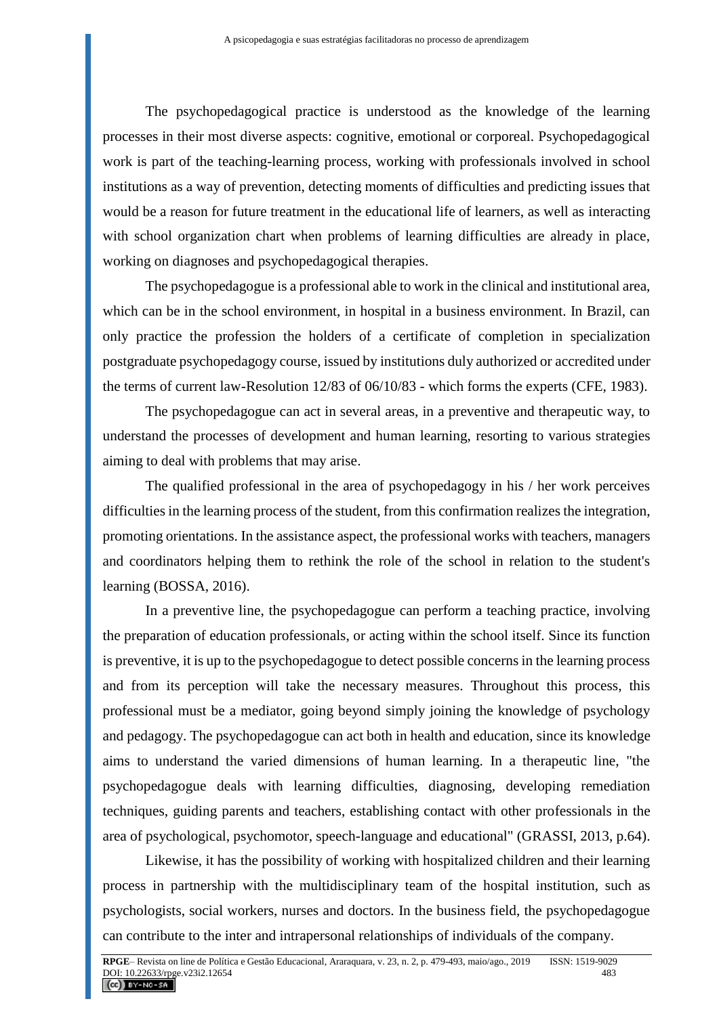The psychopedagogical practice is understood as the knowledge of the learning processes in their most diverse aspects: cognitive, emotional or corporeal. Psychopedagogical work is part of the teaching-learning process, working with professionals involved in school institutions as a way of prevention, detecting moments of difficulties and predicting issues that would be a reason for future treatment in the educational life of learners, as well as interacting with school organization chart when problems of learning difficulties are already in place, working on diagnoses and psychopedagogical therapies.

The psychopedagogue is a professional able to work in the clinical and institutional area, which can be in the school environment, in hospital in a business environment. In Brazil, can only practice the profession the holders of a certificate of completion in specialization postgraduate psychopedagogy course, issued by institutions duly authorized or accredited under the terms of current law-Resolution 12/83 of 06/10/83 - which forms the experts (CFE, 1983).

The psychopedagogue can act in several areas, in a preventive and therapeutic way, to understand the processes of development and human learning, resorting to various strategies aiming to deal with problems that may arise.

The qualified professional in the area of psychopedagogy in his / her work perceives difficulties in the learning process of the student, from this confirmation realizes the integration, promoting orientations. In the assistance aspect, the professional works with teachers, managers and coordinators helping them to rethink the role of the school in relation to the student's learning (BOSSA, 2016).

In a preventive line, the psychopedagogue can perform a teaching practice, involving the preparation of education professionals, or acting within the school itself. Since its function is preventive, it is up to the psychopedagogue to detect possible concerns in the learning process and from its perception will take the necessary measures. Throughout this process, this professional must be a mediator, going beyond simply joining the knowledge of psychology and pedagogy. The psychopedagogue can act both in health and education, since its knowledge aims to understand the varied dimensions of human learning. In a therapeutic line, "the psychopedagogue deals with learning difficulties, diagnosing, developing remediation techniques, guiding parents and teachers, establishing contact with other professionals in the area of psychological, psychomotor, speech-language and educational" (GRASSI, 2013, p.64).

Likewise, it has the possibility of working with hospitalized children and their learning process in partnership with the multidisciplinary team of the hospital institution, such as psychologists, social workers, nurses and doctors. In the business field, the psychopedagogue can contribute to the inter and intrapersonal relationships of individuals of the company.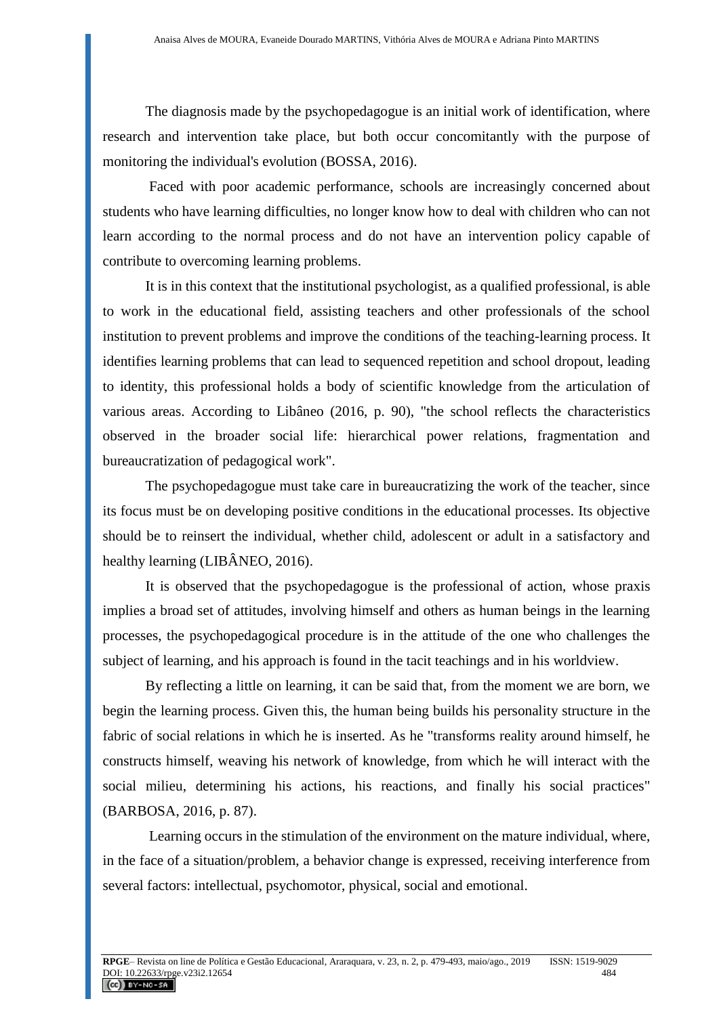The diagnosis made by the psychopedagogue is an initial work of identification, where research and intervention take place, but both occur concomitantly with the purpose of monitoring the individual's evolution (BOSSA, 2016).

Faced with poor academic performance, schools are increasingly concerned about students who have learning difficulties, no longer know how to deal with children who can not learn according to the normal process and do not have an intervention policy capable of contribute to overcoming learning problems.

It is in this context that the institutional psychologist, as a qualified professional, is able to work in the educational field, assisting teachers and other professionals of the school institution to prevent problems and improve the conditions of the teaching-learning process. It identifies learning problems that can lead to sequenced repetition and school dropout, leading to identity, this professional holds a body of scientific knowledge from the articulation of various areas. According to Libâneo (2016, p. 90), "the school reflects the characteristics observed in the broader social life: hierarchical power relations, fragmentation and bureaucratization of pedagogical work".

The psychopedagogue must take care in bureaucratizing the work of the teacher, since its focus must be on developing positive conditions in the educational processes. Its objective should be to reinsert the individual, whether child, adolescent or adult in a satisfactory and healthy learning (LIBÂNEO, 2016).

It is observed that the psychopedagogue is the professional of action, whose praxis implies a broad set of attitudes, involving himself and others as human beings in the learning processes, the psychopedagogical procedure is in the attitude of the one who challenges the subject of learning, and his approach is found in the tacit teachings and in his worldview.

By reflecting a little on learning, it can be said that, from the moment we are born, we begin the learning process. Given this, the human being builds his personality structure in the fabric of social relations in which he is inserted. As he "transforms reality around himself, he constructs himself, weaving his network of knowledge, from which he will interact with the social milieu, determining his actions, his reactions, and finally his social practices" (BARBOSA, 2016, p. 87).

Learning occurs in the stimulation of the environment on the mature individual, where, in the face of a situation/problem, a behavior change is expressed, receiving interference from several factors: intellectual, psychomotor, physical, social and emotional.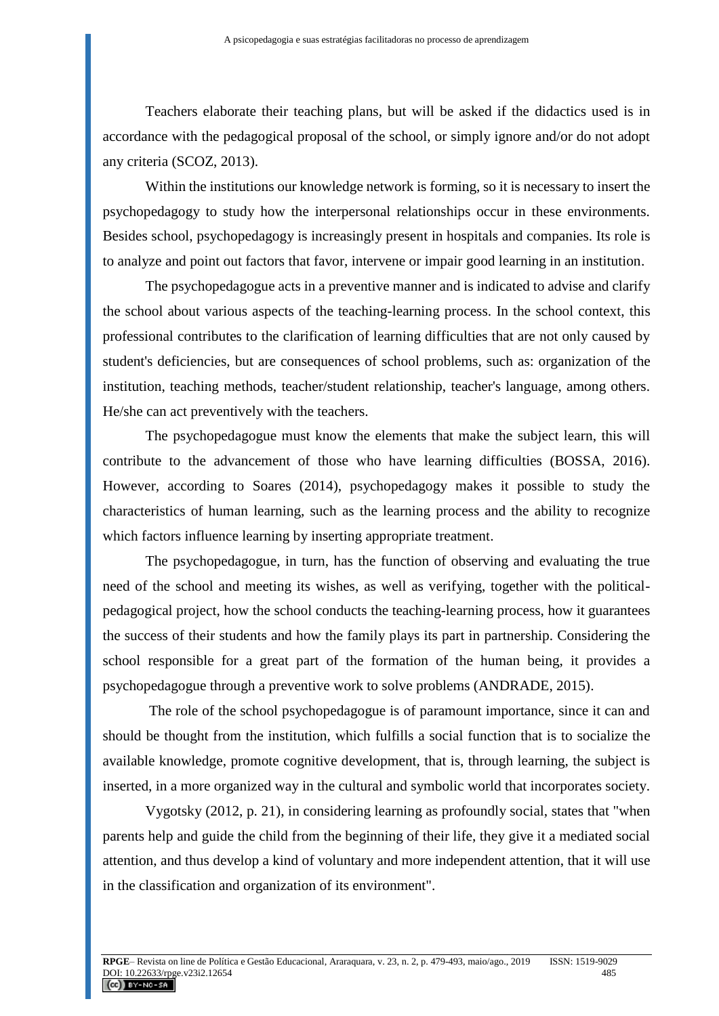Teachers elaborate their teaching plans, but will be asked if the didactics used is in accordance with the pedagogical proposal of the school, or simply ignore and/or do not adopt any criteria (SCOZ, 2013).

Within the institutions our knowledge network is forming, so it is necessary to insert the psychopedagogy to study how the interpersonal relationships occur in these environments. Besides school, psychopedagogy is increasingly present in hospitals and companies. Its role is to analyze and point out factors that favor, intervene or impair good learning in an institution.

The psychopedagogue acts in a preventive manner and is indicated to advise and clarify the school about various aspects of the teaching-learning process. In the school context, this professional contributes to the clarification of learning difficulties that are not only caused by student's deficiencies, but are consequences of school problems, such as: organization of the institution, teaching methods, teacher/student relationship, teacher's language, among others. He/she can act preventively with the teachers.

The psychopedagogue must know the elements that make the subject learn, this will contribute to the advancement of those who have learning difficulties (BOSSA, 2016). However, according to Soares (2014), psychopedagogy makes it possible to study the characteristics of human learning, such as the learning process and the ability to recognize which factors influence learning by inserting appropriate treatment.

The psychopedagogue, in turn, has the function of observing and evaluating the true need of the school and meeting its wishes, as well as verifying, together with the politicalpedagogical project, how the school conducts the teaching-learning process, how it guarantees the success of their students and how the family plays its part in partnership. Considering the school responsible for a great part of the formation of the human being, it provides a psychopedagogue through a preventive work to solve problems (ANDRADE, 2015).

The role of the school psychopedagogue is of paramount importance, since it can and should be thought from the institution, which fulfills a social function that is to socialize the available knowledge, promote cognitive development, that is, through learning, the subject is inserted, in a more organized way in the cultural and symbolic world that incorporates society.

Vygotsky (2012, p. 21), in considering learning as profoundly social, states that "when parents help and guide the child from the beginning of their life, they give it a mediated social attention, and thus develop a kind of voluntary and more independent attention, that it will use in the classification and organization of its environment".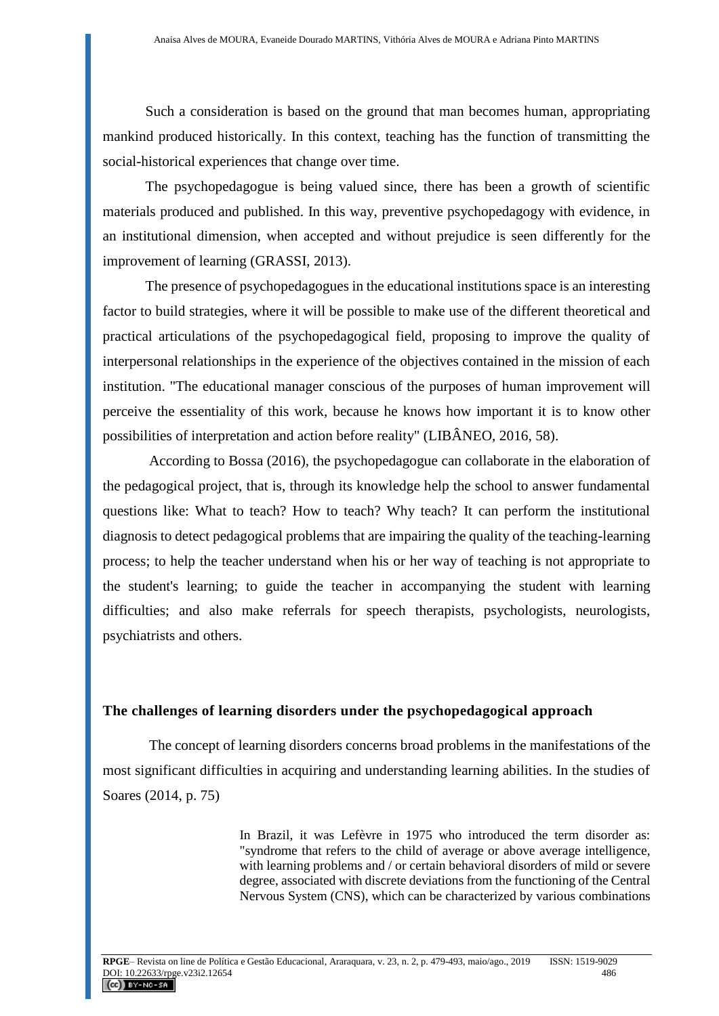Such a consideration is based on the ground that man becomes human, appropriating mankind produced historically. In this context, teaching has the function of transmitting the social-historical experiences that change over time.

The psychopedagogue is being valued since, there has been a growth of scientific materials produced and published. In this way, preventive psychopedagogy with evidence, in an institutional dimension, when accepted and without prejudice is seen differently for the improvement of learning (GRASSI, 2013).

The presence of psychopedagogues in the educational institutions space is an interesting factor to build strategies, where it will be possible to make use of the different theoretical and practical articulations of the psychopedagogical field, proposing to improve the quality of interpersonal relationships in the experience of the objectives contained in the mission of each institution. "The educational manager conscious of the purposes of human improvement will perceive the essentiality of this work, because he knows how important it is to know other possibilities of interpretation and action before reality" (LIBÂNEO, 2016, 58).

According to Bossa (2016), the psychopedagogue can collaborate in the elaboration of the pedagogical project, that is, through its knowledge help the school to answer fundamental questions like: What to teach? How to teach? Why teach? It can perform the institutional diagnosis to detect pedagogical problems that are impairing the quality of the teaching-learning process; to help the teacher understand when his or her way of teaching is not appropriate to the student's learning; to guide the teacher in accompanying the student with learning difficulties; and also make referrals for speech therapists, psychologists, neurologists, psychiatrists and others.

### **The challenges of learning disorders under the psychopedagogical approach**

The concept of learning disorders concerns broad problems in the manifestations of the most significant difficulties in acquiring and understanding learning abilities. In the studies of Soares (2014, p. 75)

> In Brazil, it was Lefèvre in 1975 who introduced the term disorder as: "syndrome that refers to the child of average or above average intelligence, with learning problems and / or certain behavioral disorders of mild or severe degree, associated with discrete deviations from the functioning of the Central Nervous System (CNS), which can be characterized by various combinations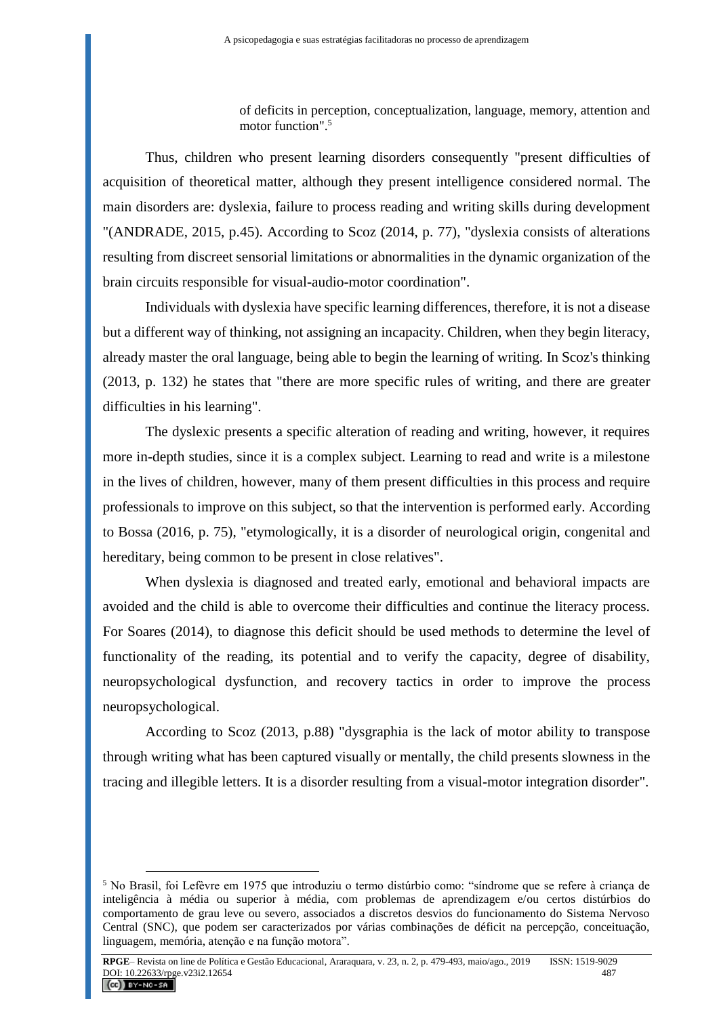of deficits in perception, conceptualization, language, memory, attention and motor function". 5

Thus, children who present learning disorders consequently "present difficulties of acquisition of theoretical matter, although they present intelligence considered normal. The main disorders are: dyslexia, failure to process reading and writing skills during development "(ANDRADE, 2015, p.45). According to Scoz (2014, p. 77), "dyslexia consists of alterations resulting from discreet sensorial limitations or abnormalities in the dynamic organization of the brain circuits responsible for visual-audio-motor coordination".

Individuals with dyslexia have specific learning differences, therefore, it is not a disease but a different way of thinking, not assigning an incapacity. Children, when they begin literacy, already master the oral language, being able to begin the learning of writing. In Scoz's thinking (2013, p. 132) he states that "there are more specific rules of writing, and there are greater difficulties in his learning".

The dyslexic presents a specific alteration of reading and writing, however, it requires more in-depth studies, since it is a complex subject. Learning to read and write is a milestone in the lives of children, however, many of them present difficulties in this process and require professionals to improve on this subject, so that the intervention is performed early. According to Bossa (2016, p. 75), "etymologically, it is a disorder of neurological origin, congenital and hereditary, being common to be present in close relatives".

When dyslexia is diagnosed and treated early, emotional and behavioral impacts are avoided and the child is able to overcome their difficulties and continue the literacy process. For Soares (2014), to diagnose this deficit should be used methods to determine the level of functionality of the reading, its potential and to verify the capacity, degree of disability, neuropsychological dysfunction, and recovery tactics in order to improve the process neuropsychological.

According to Scoz (2013, p.88) "dysgraphia is the lack of motor ability to transpose through writing what has been captured visually or mentally, the child presents slowness in the tracing and illegible letters. It is a disorder resulting from a visual-motor integration disorder".

 $\overline{a}$ 

<sup>5</sup> No Brasil, foi Lefèvre em 1975 que introduziu o termo distúrbio como: "síndrome que se refere à criança de inteligência à média ou superior à média, com problemas de aprendizagem e/ou certos distúrbios do comportamento de grau leve ou severo, associados a discretos desvios do funcionamento do Sistema Nervoso Central (SNC), que podem ser caracterizados por várias combinações de déficit na percepção, conceituação, linguagem, memória, atenção e na função motora".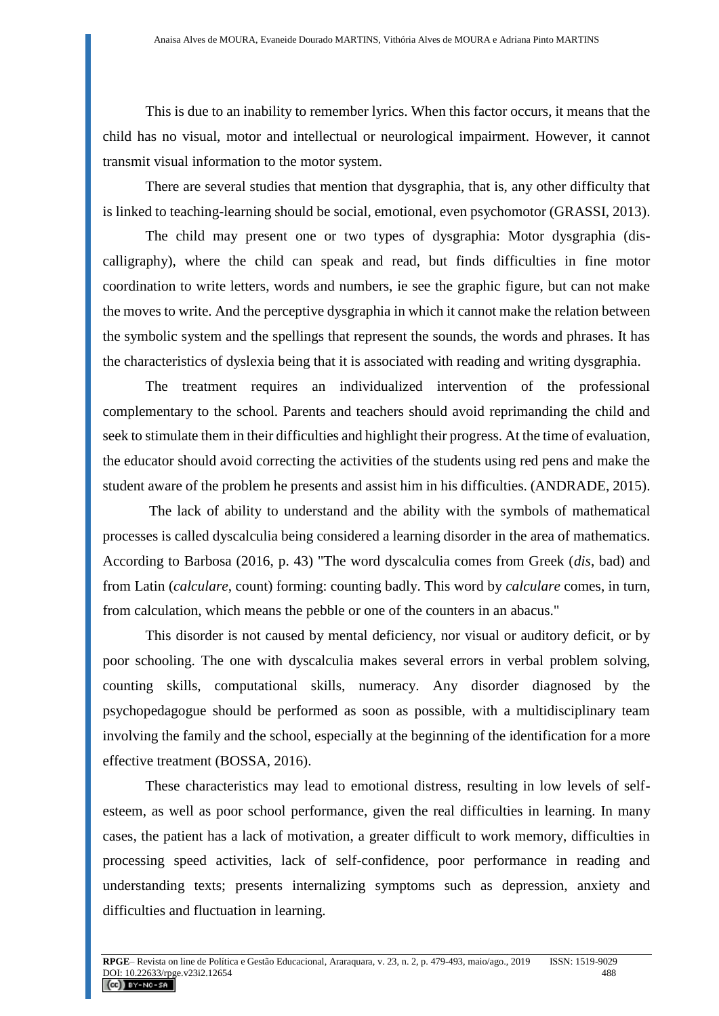This is due to an inability to remember lyrics. When this factor occurs, it means that the child has no visual, motor and intellectual or neurological impairment. However, it cannot transmit visual information to the motor system.

There are several studies that mention that dysgraphia, that is, any other difficulty that is linked to teaching-learning should be social, emotional, even psychomotor (GRASSI, 2013).

The child may present one or two types of dysgraphia: Motor dysgraphia (discalligraphy), where the child can speak and read, but finds difficulties in fine motor coordination to write letters, words and numbers, ie see the graphic figure, but can not make the moves to write. And the perceptive dysgraphia in which it cannot make the relation between the symbolic system and the spellings that represent the sounds, the words and phrases. It has the characteristics of dyslexia being that it is associated with reading and writing dysgraphia.

The treatment requires an individualized intervention of the professional complementary to the school. Parents and teachers should avoid reprimanding the child and seek to stimulate them in their difficulties and highlight their progress. At the time of evaluation, the educator should avoid correcting the activities of the students using red pens and make the student aware of the problem he presents and assist him in his difficulties. (ANDRADE, 2015).

The lack of ability to understand and the ability with the symbols of mathematical processes is called dyscalculia being considered a learning disorder in the area of mathematics. According to Barbosa (2016, p. 43) "The word dyscalculia comes from Greek (*dis*, bad) and from Latin (*calculare*, count) forming: counting badly. This word by *calculare* comes, in turn, from calculation, which means the pebble or one of the counters in an abacus."

This disorder is not caused by mental deficiency, nor visual or auditory deficit, or by poor schooling. The one with dyscalculia makes several errors in verbal problem solving, counting skills, computational skills, numeracy. Any disorder diagnosed by the psychopedagogue should be performed as soon as possible, with a multidisciplinary team involving the family and the school, especially at the beginning of the identification for a more effective treatment (BOSSA, 2016).

These characteristics may lead to emotional distress, resulting in low levels of selfesteem, as well as poor school performance, given the real difficulties in learning. In many cases, the patient has a lack of motivation, a greater difficult to work memory, difficulties in processing speed activities, lack of self-confidence, poor performance in reading and understanding texts; presents internalizing symptoms such as depression, anxiety and difficulties and fluctuation in learning.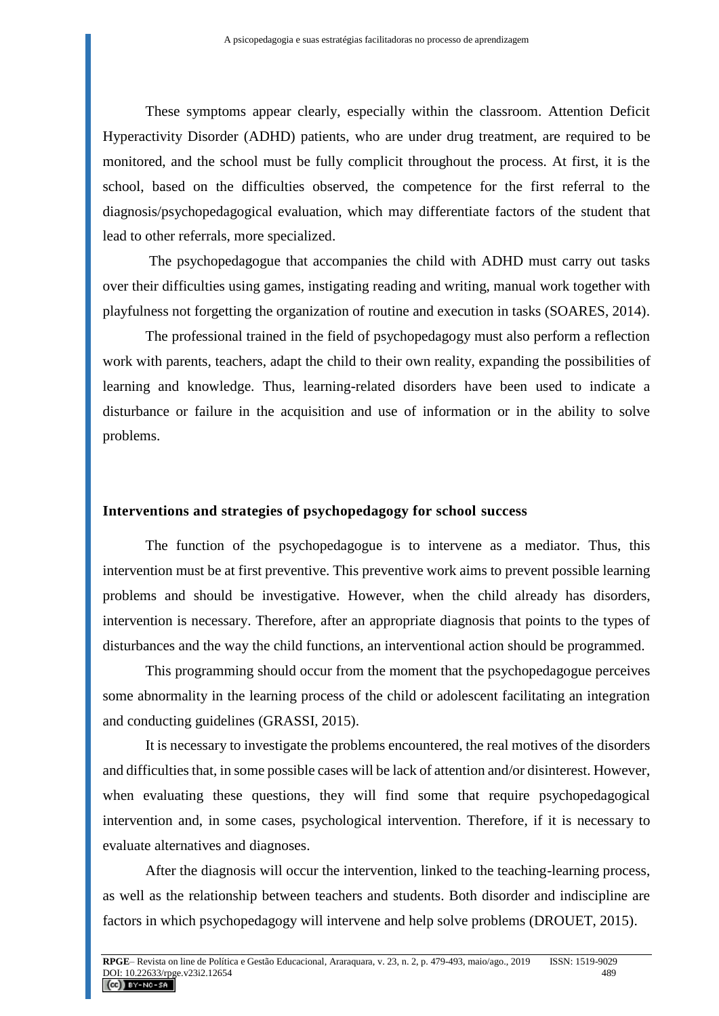These symptoms appear clearly, especially within the classroom. Attention Deficit Hyperactivity Disorder (ADHD) patients, who are under drug treatment, are required to be monitored, and the school must be fully complicit throughout the process. At first, it is the school, based on the difficulties observed, the competence for the first referral to the diagnosis/psychopedagogical evaluation, which may differentiate factors of the student that lead to other referrals, more specialized.

The psychopedagogue that accompanies the child with ADHD must carry out tasks over their difficulties using games, instigating reading and writing, manual work together with playfulness not forgetting the organization of routine and execution in tasks (SOARES, 2014).

The professional trained in the field of psychopedagogy must also perform a reflection work with parents, teachers, adapt the child to their own reality, expanding the possibilities of learning and knowledge. Thus, learning-related disorders have been used to indicate a disturbance or failure in the acquisition and use of information or in the ability to solve problems.

### **Interventions and strategies of psychopedagogy for school success**

The function of the psychopedagogue is to intervene as a mediator. Thus, this intervention must be at first preventive. This preventive work aims to prevent possible learning problems and should be investigative. However, when the child already has disorders, intervention is necessary. Therefore, after an appropriate diagnosis that points to the types of disturbances and the way the child functions, an interventional action should be programmed.

This programming should occur from the moment that the psychopedagogue perceives some abnormality in the learning process of the child or adolescent facilitating an integration and conducting guidelines (GRASSI, 2015).

It is necessary to investigate the problems encountered, the real motives of the disorders and difficulties that, in some possible cases will be lack of attention and/or disinterest. However, when evaluating these questions, they will find some that require psychopedagogical intervention and, in some cases, psychological intervention. Therefore, if it is necessary to evaluate alternatives and diagnoses.

After the diagnosis will occur the intervention, linked to the teaching-learning process, as well as the relationship between teachers and students. Both disorder and indiscipline are factors in which psychopedagogy will intervene and help solve problems (DROUET, 2015).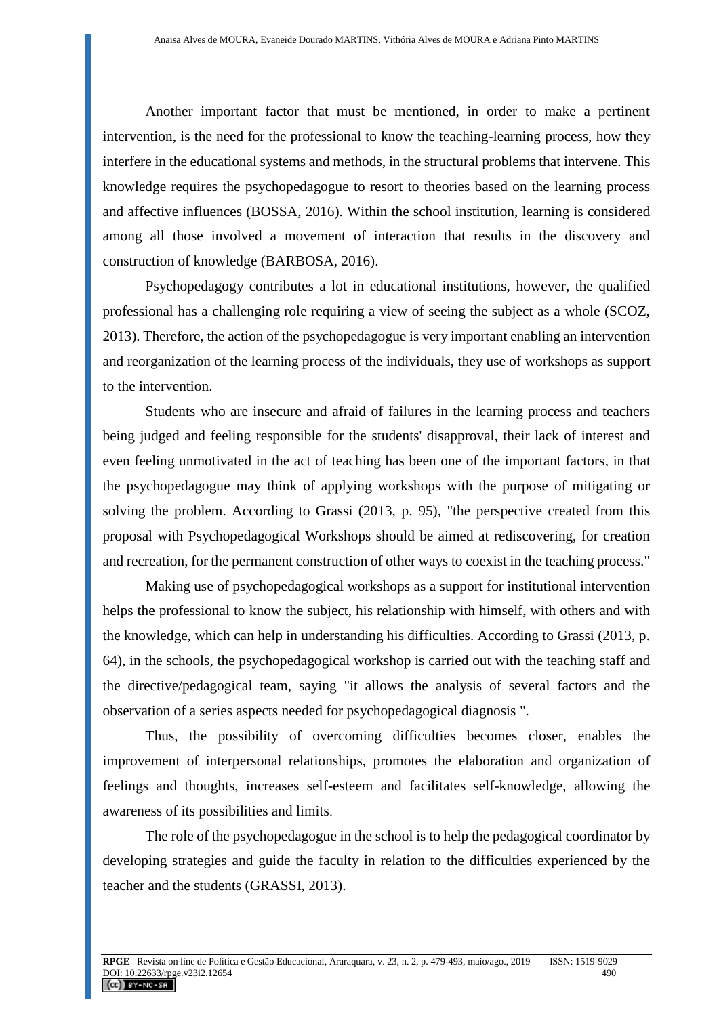Another important factor that must be mentioned, in order to make a pertinent intervention, is the need for the professional to know the teaching-learning process, how they interfere in the educational systems and methods, in the structural problems that intervene. This knowledge requires the psychopedagogue to resort to theories based on the learning process and affective influences (BOSSA, 2016). Within the school institution, learning is considered among all those involved a movement of interaction that results in the discovery and construction of knowledge (BARBOSA, 2016).

Psychopedagogy contributes a lot in educational institutions, however, the qualified professional has a challenging role requiring a view of seeing the subject as a whole (SCOZ, 2013). Therefore, the action of the psychopedagogue is very important enabling an intervention and reorganization of the learning process of the individuals, they use of workshops as support to the intervention.

Students who are insecure and afraid of failures in the learning process and teachers being judged and feeling responsible for the students' disapproval, their lack of interest and even feeling unmotivated in the act of teaching has been one of the important factors, in that the psychopedagogue may think of applying workshops with the purpose of mitigating or solving the problem. According to Grassi (2013, p. 95), "the perspective created from this proposal with Psychopedagogical Workshops should be aimed at rediscovering, for creation and recreation, for the permanent construction of other ways to coexist in the teaching process."

Making use of psychopedagogical workshops as a support for institutional intervention helps the professional to know the subject, his relationship with himself, with others and with the knowledge, which can help in understanding his difficulties. According to Grassi (2013, p. 64), in the schools, the psychopedagogical workshop is carried out with the teaching staff and the directive/pedagogical team, saying "it allows the analysis of several factors and the observation of a series aspects needed for psychopedagogical diagnosis ".

Thus, the possibility of overcoming difficulties becomes closer, enables the improvement of interpersonal relationships, promotes the elaboration and organization of feelings and thoughts, increases self-esteem and facilitates self-knowledge, allowing the awareness of its possibilities and limits.

The role of the psychopedagogue in the school is to help the pedagogical coordinator by developing strategies and guide the faculty in relation to the difficulties experienced by the teacher and the students (GRASSI, 2013).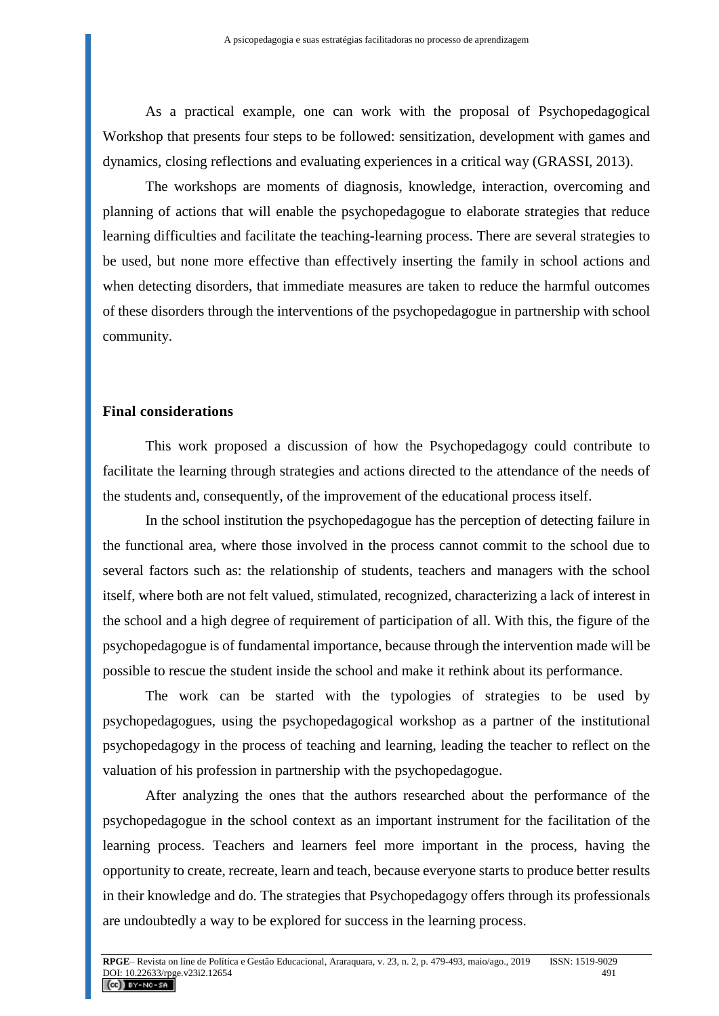As a practical example, one can work with the proposal of Psychopedagogical Workshop that presents four steps to be followed: sensitization, development with games and dynamics, closing reflections and evaluating experiences in a critical way (GRASSI, 2013).

The workshops are moments of diagnosis, knowledge, interaction, overcoming and planning of actions that will enable the psychopedagogue to elaborate strategies that reduce learning difficulties and facilitate the teaching-learning process. There are several strategies to be used, but none more effective than effectively inserting the family in school actions and when detecting disorders, that immediate measures are taken to reduce the harmful outcomes of these disorders through the interventions of the psychopedagogue in partnership with school community.

### **Final considerations**

This work proposed a discussion of how the Psychopedagogy could contribute to facilitate the learning through strategies and actions directed to the attendance of the needs of the students and, consequently, of the improvement of the educational process itself.

In the school institution the psychopedagogue has the perception of detecting failure in the functional area, where those involved in the process cannot commit to the school due to several factors such as: the relationship of students, teachers and managers with the school itself, where both are not felt valued, stimulated, recognized, characterizing a lack of interest in the school and a high degree of requirement of participation of all. With this, the figure of the psychopedagogue is of fundamental importance, because through the intervention made will be possible to rescue the student inside the school and make it rethink about its performance.

The work can be started with the typologies of strategies to be used by psychopedagogues, using the psychopedagogical workshop as a partner of the institutional psychopedagogy in the process of teaching and learning, leading the teacher to reflect on the valuation of his profession in partnership with the psychopedagogue.

After analyzing the ones that the authors researched about the performance of the psychopedagogue in the school context as an important instrument for the facilitation of the learning process. Teachers and learners feel more important in the process, having the opportunity to create, recreate, learn and teach, because everyone starts to produce better results in their knowledge and do. The strategies that Psychopedagogy offers through its professionals are undoubtedly a way to be explored for success in the learning process.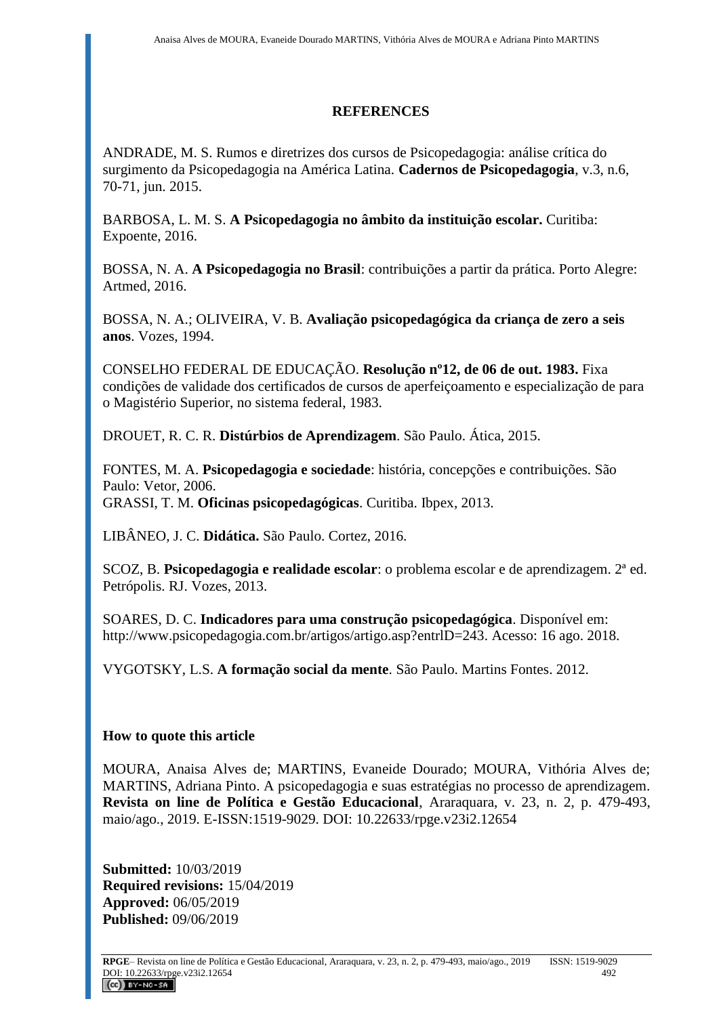# **REFERENCES**

ANDRADE, M. S. Rumos e diretrizes dos cursos de Psicopedagogia: análise crítica do surgimento da Psicopedagogia na América Latina. **Cadernos de Psicopedagogia**, v.3, n.6, 70-71, jun. 2015.

BARBOSA, L. M. S. **A Psicopedagogia no âmbito da instituição escolar.** Curitiba: Expoente, 2016.

BOSSA, N. A. **A Psicopedagogia no Brasil**: contribuições a partir da prática. Porto Alegre: Artmed, 2016.

BOSSA, N. A.; OLIVEIRA, V. B. **Avaliação psicopedagógica da criança de zero a seis anos**. Vozes, 1994.

CONSELHO FEDERAL DE EDUCAÇÃO. **Resolução nº12, de 06 de out. 1983.** Fixa condições de validade dos certificados de cursos de aperfeiçoamento e especialização de para o Magistério Superior, no sistema federal, 1983.

DROUET, R. C. R. **Distúrbios de Aprendizagem**. São Paulo. Ática, 2015.

FONTES, M. A. **Psicopedagogia e sociedade**: história, concepções e contribuições. São Paulo: Vetor, 2006. GRASSI, T. M. **Oficinas psicopedagógicas**. Curitiba. Ibpex, 2013.

LIBÂNEO, J. C. **Didática.** São Paulo. Cortez, 2016.

SCOZ, B. **Psicopedagogia e realidade escolar**: o problema escolar e de aprendizagem. 2ª ed. Petrópolis. RJ. Vozes, 2013.

SOARES, D. C. **Indicadores para uma construção psicopedagógica**. Disponível em: http://www.psicopedagogia.com.br/artigos/artigo.asp?entrlD=243. Acesso: 16 ago. 2018.

VYGOTSKY, L.S. **A formação social da mente**. São Paulo. Martins Fontes. 2012.

# **How to quote this article**

MOURA, Anaisa Alves de; MARTINS, Evaneide Dourado; MOURA, Vithória Alves de; MARTINS, Adriana Pinto. A psicopedagogia e suas estratégias no processo de aprendizagem. **Revista on line de Política e Gestão Educacional**, Araraquara, v. 23, n. 2, p. 479-493, maio/ago., 2019. E-ISSN:1519-9029. DOI: 10.22633/rpge.v23i2.12654

**Submitted:** 10/03/2019 **Required revisions:** 15/04/2019 **Approved:** 06/05/2019 **Published:** 09/06/2019